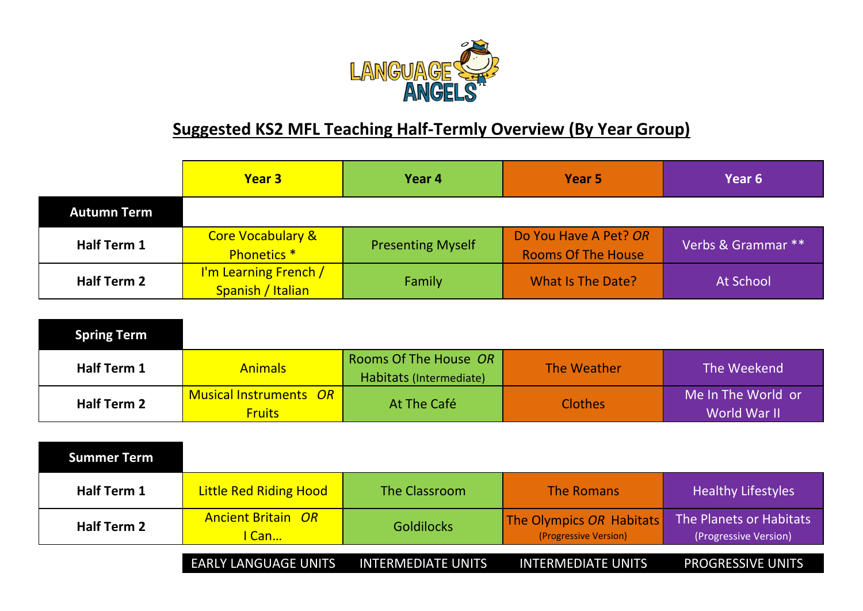

## **Suggested KS2 MFL Teaching Half-Termly Overview (By Year Group)**

|                    | <b>Year 3</b>                                          | Year 4                   | Year 5                                             | <b>Year 6</b>      |
|--------------------|--------------------------------------------------------|--------------------------|----------------------------------------------------|--------------------|
| <b>Autumn Term</b> |                                                        |                          |                                                    |                    |
| <b>Half Term 1</b> | <b>Core Vocabulary &amp;</b><br>Phonetics <sup>*</sup> | <b>Presenting Myself</b> | Do You Have A Pet? OR<br><b>Rooms Of The House</b> | Verbs & Grammar ** |
| Half Term 2        | I'm Learning French /<br>Spanish / Italian             | Family                   | <b>What Is The Date?</b>                           | At School          |

| <b>Spring Term</b> |                                                |                                                  |                |                                    |
|--------------------|------------------------------------------------|--------------------------------------------------|----------------|------------------------------------|
| <b>Half Term 1</b> | <b>Animals</b>                                 | Rooms Of The House OR<br>Habitats (Intermediate) | The Weather    | The Weekend                        |
| <b>Half Term 2</b> | <b>Musical Instruments OR</b><br><b>Fruits</b> | At The Café                                      | <b>Clothes</b> | Me In The World or<br>World War II |

| <b>Summer Term</b> |                                    |                           |                                                   |                                                  |
|--------------------|------------------------------------|---------------------------|---------------------------------------------------|--------------------------------------------------|
| Half Term 1        | <b>Little Red Riding Hood</b>      | The Classroom             | <b>The Romans</b>                                 | <b>Healthy Lifestyles</b>                        |
| <b>Half Term 2</b> | <b>Ancient Britain OR</b><br>l Can | <b>Goldilocks</b>         | The Olympics OR Habitats<br>(Progressive Version) | The Planets or Habitats<br>(Progressive Version) |
|                    | <b>EARLY LANGUAGE UNITS</b>        | <b>INTERMEDIATE UNITS</b> | <b>INTERMEDIATE UNITS</b>                         | <b>PROGRESSIVE UNITS</b>                         |